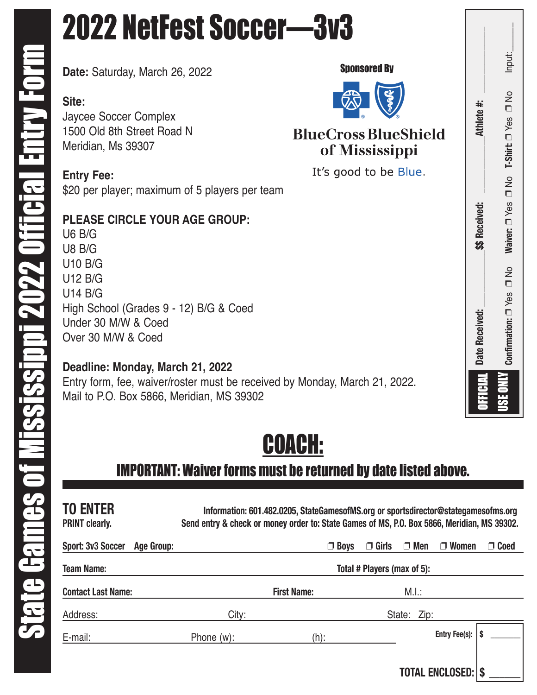# 2022 NetFest Soccer—3v3

**Date:** Saturday, March 26, 2022

**Site:** Jaycee Soccer Complex 1500 Old 8th Street Road N Meridian, Ms 39307

**Entry Fee:** \$20 per player; maximum of 5 players per team

## **PLEASE CIRCLE YOUR AGE GROUP:**

U6 B/G U8 B/G U10 B/G U12 B/G U14 B/G High School (Grades 9 - 12) B/G & Coed Under 30 M/W & Coed Over 30 M/W & Coed

### **Deadline: Monday, March 21, 2022**

Entry form, fee, waiver/roster must be received by Monday, March 21, 2022. Mail to P.O. Box 5866, Meridian, MS 39302



## IMPORTANT: Waiver forms must be returned by date listed above.

| <b>TO ENTER</b><br><b>PRINT clearly.</b> | Information: 601.482.0205, StateGamesofMS.org or sportsdirector@stategamesofms.org<br>Send entry & check or money order to: State Games of MS, P.O. Box 5866, Meridian, MS 39302. |             |              |             |                        |             |
|------------------------------------------|-----------------------------------------------------------------------------------------------------------------------------------------------------------------------------------|-------------|--------------|-------------|------------------------|-------------|
| <b>Sport: 3v3 Soccer</b><br>Age Group:   |                                                                                                                                                                                   | $\Box$ Boys | $\Box$ Girls | $\Box$ Men  | $\Box$ Women           | $\Box$ Coed |
| <b>Team Name:</b>                        | Total # Players (max of 5):                                                                                                                                                       |             |              |             |                        |             |
| <b>Contact Last Name:</b>                | <b>First Name:</b>                                                                                                                                                                |             |              | M.I.:       |                        |             |
| Address:                                 | City:                                                                                                                                                                             |             |              | State: Zip: |                        |             |
| E-mail:                                  | Phone $(w)$ :                                                                                                                                                                     | (h):        |              |             | Entry Fee(s):          |             |
|                                          |                                                                                                                                                                                   |             |              |             | <b>TOTAL ENCLOSED:</b> |             |





## **BlueCross BlueShield** of Mississippi

It's good to be Blue.

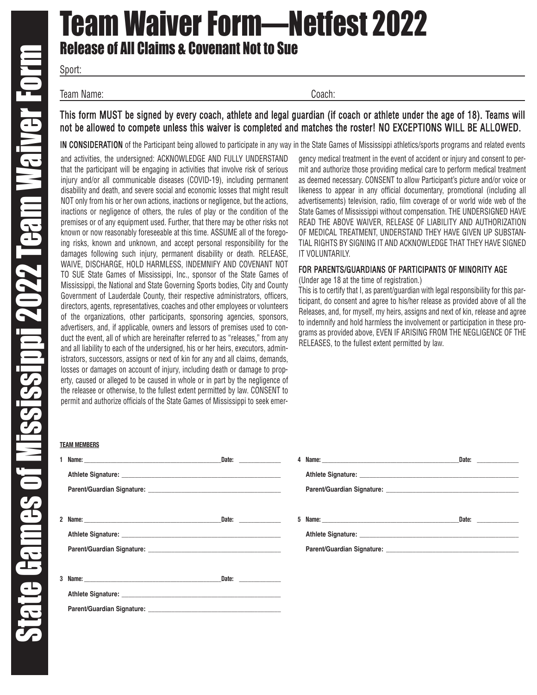# Team Waiver Form—Netfest 2022 Release of All Claims & Covenant Not to Sue

Sport:

Team Name: Coach:

#### This form MUST be signed by every coach, athlete and legal guardian (if coach or athlete under the age of 18). Teams will not be allowed to compete unless this waiver is completed and matches the roster! NO EXCEPTIONS WILL BE ALLOWED.

IN CONSIDERATION of the Participant being allowed to participate in any way in the State Games of Mississippi athletics/sports programs and related events

and activities, the undersigned: ACKNOWLEDGE AND FULLY UNDERSTAND that the participant will be engaging in activities that involve risk of serious injury and/or all communicable diseases (COVID-19), including permanent disability and death, and severe social and economic losses that might result NOT only from his or her own actions, inactions or negligence, but the actions, inactions or negligence of others, the rules of play or the condition of the premises or of any equipment used. Further, that there may be other risks not known or now reasonably foreseeable at this time. ASSUME all of the foregoing risks, known and unknown, and accept personal responsibility for the damages following such injury, permanent disability or death. RELEASE, WAIVE, DISCHARGE, HOLD HARMLESS, INDEMNIFY AND COVENANT NOT TO SUE State Games of Mississippi, Inc., sponsor of the State Games of Mississippi, the National and State Governing Sports bodies, City and County Government of Lauderdale County, their respective administrators, officers, directors, agents, representatives, coaches and other employees or volunteers of the organizations, other participants, sponsoring agencies, sponsors, advertisers, and, if applicable, owners and lessors of premises used to conduct the event, all of which are hereinafter referred to as "releases," from any and all liability to each of the undersigned, his or her heirs, executors, administrators, successors, assigns or next of kin for any and all claims, demands, losses or damages on account of injury, including death or damage to property, caused or alleged to be caused in whole or in part by the negligence of the releasee or otherwise, to the fullest extent permitted by law. CONSENT to permit and authorize officials of the State Games of Mississippi to seek emer-

#### **TEAM MEMBERS**

|   | Date: ___________  |
|---|--------------------|
|   |                    |
|   |                    |
|   |                    |
|   | Date: ___________  |
|   |                    |
|   |                    |
|   |                    |
| 3 | Date: <u>Date:</u> |
|   |                    |
|   |                    |

| gency medical treatment in the event of accident or injury and consent to per- |
|--------------------------------------------------------------------------------|
| mit and authorize those providing medical care to perform medical treatment    |
| as deemed necessary. CONSENT to allow Participant's picture and/or voice or    |
| likeness to appear in any official documentary, promotional (including all     |
| advertisements) television, radio, film coverage of or world wide web of the   |
| State Games of Mississippi without compensation. THE UNDERSIGNED HAVE          |
| READ THE ABOVE WAIVER, RELEASE OF LIABILITY AND AUTHORIZATION                  |
| OF MEDICAL TREATMENT, UNDERSTAND THEY HAVE GIVEN UP SUBSTAN-                   |
| TIAL RIGHTS BY SIGNING IT AND ACKNOWLEDGE THAT THEY HAVE SIGNED                |
| IT VOLUNTARILY.                                                                |

#### FOR PARENTS/GUARDIANS OF PARTICIPANTS OF MINORITY AGE

(Under age 18 at the time of registration.)

This is to certify that I, as parent/guardian with legal responsibility for this participant, do consent and agree to his/her release as provided above of all the Releases, and, for myself, my heirs, assigns and next of kin, release and agree to indemnify and hold harmless the involvement or participation in these programs as provided above, EVEN IF ARISING FROM THE NEGLIGENCE OF THE RELEASES, to the fullest extent permitted by law.

|    |                                                                                                     | Date: ___________ |
|----|-----------------------------------------------------------------------------------------------------|-------------------|
|    | Athlete Signature: <b>Manual Access of Athletic Signature:</b> Manual Access of Athletic Signature: |                   |
|    |                                                                                                     |                   |
|    |                                                                                                     |                   |
| 5. |                                                                                                     |                   |
|    |                                                                                                     |                   |
|    |                                                                                                     |                   |
|    |                                                                                                     |                   |